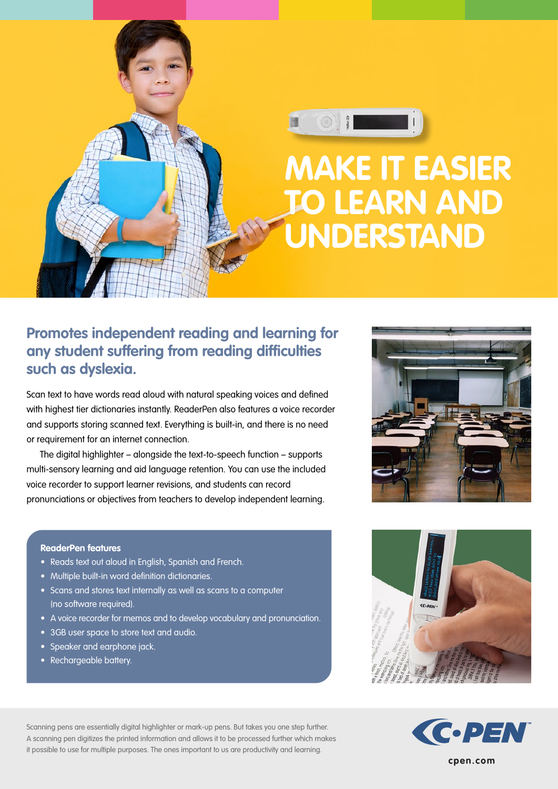

## **Promotes independent reading and learning for any student suffering from reading difficulties such as dyslexia.**

Scan text to have words read aloud with natural speaking voices and defined with highest tier dictionaries instantly. ReaderPen also features a voice recorder and supports storing scanned text. Everything is built-in, and there is no need or requirement for an internet connection.

The digital highlighter – alongside the text-to-speech function – supports multi-sensory learning and aid language retention. You can use the included voice recorder to support learner revisions, and students can record pronunciations or objectives from teachers to develop independent learning.

#### **ReaderPen features**

- Reads text out aloud in English, Spanish and French.
- Multiple built-in word definition dictionaries.
- Scans and stores text internally as well as scans to a computer (no software required).
- A voice recorder for memos and to develop vocabulary and pronunciation.
- 3GB user space to store text and audio.
- Speaker and earphone jack.
- Rechargeable battery.

Scanning pens are essentially digital highlighter or mark-up pens. But takes you one step further. A scanning pen digitizes the printed information and allows it to be processed further which makes it possible to use for multiple purposes. The ones important to us are productivity and learning.







**cpen.com**